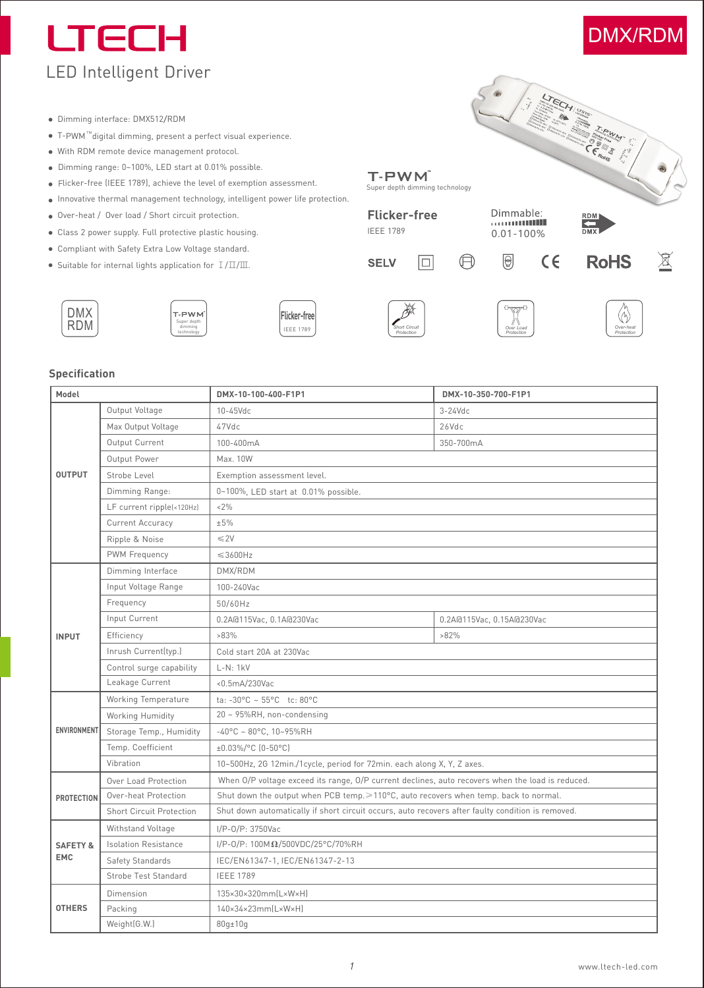# **LTECH** LED Intelligent Driver

- Dimming interface: DMX512/RDM
- T-PWM ""digital dimming, present a perfect visual experience.
- With RDM remote device management protocol.
- Dimming range: 0~100%, LED start at 0.01% possible.
- Flicker-free (IEEE 1789), achieve the level of exemption assessment.
- Innovative thermal management technology, intelligent power life protection.
- Over-heat / Over load / Short circuit protection.
- Class 2 power supply. Full protective plastic housing.
- Compliant with Safety Extra Low Voltage standard.
- Suitable for internal lights application for Ⅰ/Ⅱ/Ⅲ.

|                                              |                  | 聚                         |
|----------------------------------------------|------------------|---------------------------|
| T-PWM <sup>-</sup><br>Super depth<br>dimming | Flicker-freel    |                           |
| technology                                   | <b>IEEE 1789</b> | Short Circu<br>Protection |

#### **Specification**

DMX RDM

| Model               |                                 | DMX-10-100-400-F1P1                                                                               | DMX-10-350-700-F1P1       |  |  |  |  |  |  |
|---------------------|---------------------------------|---------------------------------------------------------------------------------------------------|---------------------------|--|--|--|--|--|--|
|                     | Output Voltage                  | 10-45Vdc                                                                                          | $3-24$ Vdc                |  |  |  |  |  |  |
|                     | Max Output Voltage              | 47Vdc                                                                                             | 26Vdc                     |  |  |  |  |  |  |
|                     | Output Current                  | 100-400mA                                                                                         | 350-700mA                 |  |  |  |  |  |  |
|                     | Output Power                    | Max. 10W                                                                                          |                           |  |  |  |  |  |  |
| <b>OUTPUT</b>       | Strobe Level                    | Exemption assessment level.                                                                       |                           |  |  |  |  |  |  |
|                     | Dimming Range:                  | 0~100%, LED start at 0.01% possible.                                                              |                           |  |  |  |  |  |  |
|                     | LF current ripple(<120Hz)       | $< 2\%$                                                                                           |                           |  |  |  |  |  |  |
|                     | Current Accuracy                | ±5%                                                                                               |                           |  |  |  |  |  |  |
|                     | Ripple & Noise                  | $\leq$ 2V                                                                                         |                           |  |  |  |  |  |  |
|                     | PWM Frequency                   | $\leqslant$ 3600Hz                                                                                |                           |  |  |  |  |  |  |
|                     | Dimming Interface               | DMX/RDM                                                                                           |                           |  |  |  |  |  |  |
|                     | Input Voltage Range             | 100-240Vac                                                                                        |                           |  |  |  |  |  |  |
|                     | Frequency                       | 50/60Hz                                                                                           |                           |  |  |  |  |  |  |
|                     | Input Current                   | 0.2A@115Vac, 0.1A@230Vac                                                                          | 0.2A@115Vac, 0.15A@230Vac |  |  |  |  |  |  |
| <b>INPUT</b>        | Efficiency                      | $>83\%$                                                                                           | $>82\%$                   |  |  |  |  |  |  |
|                     | Inrush Current(typ.)            | Cold start 20A at 230Vac                                                                          |                           |  |  |  |  |  |  |
|                     | Control surge capability        | $L-N: 1kV$                                                                                        |                           |  |  |  |  |  |  |
|                     | Leakage Current                 | < 0.5mA/230Vac                                                                                    |                           |  |  |  |  |  |  |
|                     | Working Temperature             | ta: $-30^{\circ}$ C ~ 55°C tc: 80°C                                                               |                           |  |  |  |  |  |  |
|                     | Working Humidity                | 20 ~ 95%RH, non-condensing                                                                        |                           |  |  |  |  |  |  |
| ENVIRONMENT         | Storage Temp., Humidity         | $-40^{\circ}$ C ~ 80°C, 10~95%RH                                                                  |                           |  |  |  |  |  |  |
|                     | Temp. Coefficient               | ±0.03%/°C (0-50°C)                                                                                |                           |  |  |  |  |  |  |
|                     | Vibration                       | 10~500Hz, 2G 12min./1cycle, period for 72min. each along X, Y, Z axes.                            |                           |  |  |  |  |  |  |
|                     | Over Load Protection            | When O/P voltage exceed its range, O/P current declines, auto recovers when the load is reduced.  |                           |  |  |  |  |  |  |
| <b>PROTECTION</b>   | Over-heat Protection            | Shut down the output when PCB temp. ≥110°C, auto recovers when temp. back to normal.              |                           |  |  |  |  |  |  |
|                     | <b>Short Circuit Protection</b> | Shut down automatically if short circuit occurs, auto recovers after faulty condition is removed. |                           |  |  |  |  |  |  |
|                     | Withstand Voltage               | I/P-0/P: 3750Vac                                                                                  |                           |  |  |  |  |  |  |
| <b>SAFETY &amp;</b> | <b>Isolation Resistance</b>     | I/P-0/P: 100ΜΩ/500VDC/25°C/70%RH                                                                  |                           |  |  |  |  |  |  |
| <b>EMC</b>          | Safety Standards                | IEC/EN61347-1, IEC/EN61347-2-13                                                                   |                           |  |  |  |  |  |  |
|                     | Strobe Test Standard            | <b>IEEE 1789</b>                                                                                  |                           |  |  |  |  |  |  |
|                     | Dimension                       | 135×30×320mm(L×W×H)                                                                               |                           |  |  |  |  |  |  |
| <b>OTHERS</b>       | Packing                         | $140\times34\times23mm(L\times W\times H)$                                                        |                           |  |  |  |  |  |  |
|                     | Weight(G.W.)                    | $80q \pm 10q$                                                                                     |                           |  |  |  |  |  |  |